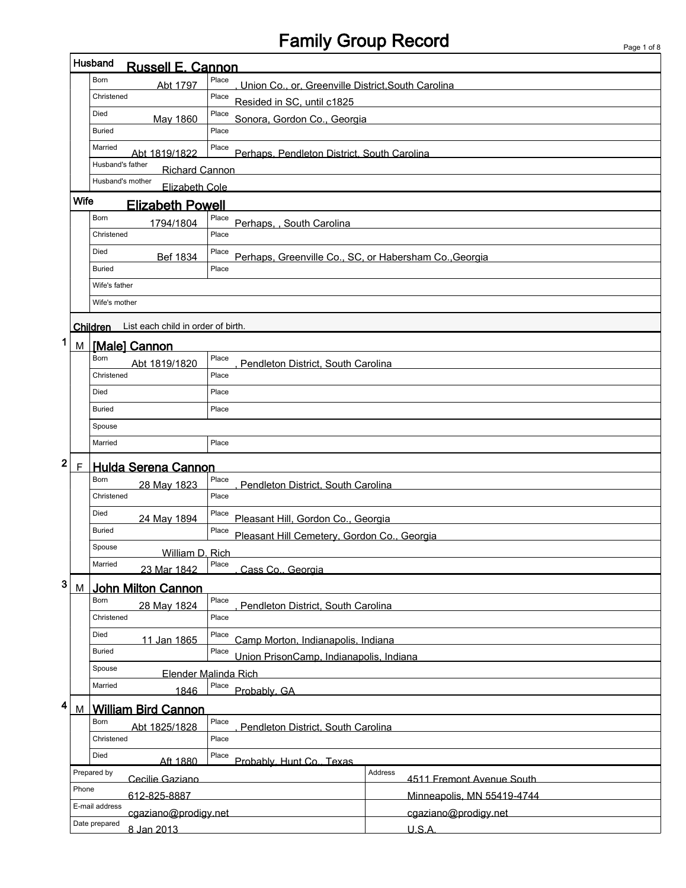## Family Group Record

 $\overline{1}$ 

|                                |                                          | Husband<br><b>Russell E. Cannon</b>                                  |                                                                 |                             |                            |  |  |  |  |  |  |  |
|--------------------------------|------------------------------------------|----------------------------------------------------------------------|-----------------------------------------------------------------|-----------------------------|----------------------------|--|--|--|--|--|--|--|
|                                |                                          | Born<br>Abt 1797                                                     | Place<br>Union Co., or, Greenville District, South Carolina     |                             |                            |  |  |  |  |  |  |  |
|                                |                                          | Christened                                                           | Place                                                           | Resided in SC, until c1825  |                            |  |  |  |  |  |  |  |
|                                |                                          | Died<br>May 1860                                                     | Place                                                           | Sonora, Gordon Co., Georgia |                            |  |  |  |  |  |  |  |
|                                |                                          | <b>Buried</b>                                                        | Place                                                           |                             |                            |  |  |  |  |  |  |  |
|                                |                                          | Married<br>Abt 1819/1822                                             | Place<br>Perhaps, Pendleton District, South Carolina            |                             |                            |  |  |  |  |  |  |  |
|                                |                                          | Husband's father<br><b>Richard Cannon</b>                            |                                                                 |                             |                            |  |  |  |  |  |  |  |
|                                |                                          | Husband's mother<br>Elizabeth Cole                                   |                                                                 |                             |                            |  |  |  |  |  |  |  |
|                                | Wife                                     | <b>Elizabeth Powell</b>                                              |                                                                 |                             |                            |  |  |  |  |  |  |  |
|                                |                                          | Born<br>1794/1804                                                    | Place<br>Perhaps, , South Carolina                              |                             |                            |  |  |  |  |  |  |  |
|                                |                                          | Christened                                                           | Place                                                           |                             |                            |  |  |  |  |  |  |  |
|                                |                                          | Died<br>Bef 1834                                                     | Place<br>Perhaps, Greenville Co., SC, or Habersham Co., Georgia |                             |                            |  |  |  |  |  |  |  |
|                                |                                          | Buried                                                               | Place                                                           |                             |                            |  |  |  |  |  |  |  |
|                                |                                          | Wife's father                                                        |                                                                 |                             |                            |  |  |  |  |  |  |  |
|                                |                                          | Wife's mother                                                        |                                                                 |                             |                            |  |  |  |  |  |  |  |
|                                |                                          | Children List each child in order of birth.                          |                                                                 |                             |                            |  |  |  |  |  |  |  |
| 1                              |                                          | M [Male] Cannon                                                      |                                                                 |                             |                            |  |  |  |  |  |  |  |
|                                |                                          | Born<br>Abt 1819/1820                                                | Place<br>Pendleton District, South Carolina                     |                             |                            |  |  |  |  |  |  |  |
|                                |                                          | Christened                                                           | Place                                                           |                             |                            |  |  |  |  |  |  |  |
|                                |                                          | Died                                                                 | Place                                                           |                             |                            |  |  |  |  |  |  |  |
|                                |                                          | Buried                                                               | Place                                                           |                             |                            |  |  |  |  |  |  |  |
|                                |                                          | Spouse                                                               |                                                                 |                             |                            |  |  |  |  |  |  |  |
|                                |                                          | Married                                                              | Place                                                           |                             |                            |  |  |  |  |  |  |  |
| $\mathbf{2}$                   | $\mathsf{F}$                             | <b>Hulda Serena Cannon</b>                                           |                                                                 |                             |                            |  |  |  |  |  |  |  |
|                                |                                          | Born<br>28 May 1823                                                  | Place<br>Pendleton District, South Carolina                     |                             |                            |  |  |  |  |  |  |  |
|                                |                                          | Christened                                                           | Place                                                           |                             |                            |  |  |  |  |  |  |  |
|                                |                                          | Died<br>24 May 1894                                                  | Place<br>Pleasant Hill, Gordon Co., Georgia                     |                             |                            |  |  |  |  |  |  |  |
|                                |                                          | <b>Buried</b>                                                        | Place<br>Pleasant Hill Cemetery, Gordon Co., Georgia            |                             |                            |  |  |  |  |  |  |  |
|                                |                                          | Spouse<br>William D. Rich                                            |                                                                 |                             |                            |  |  |  |  |  |  |  |
|                                |                                          | Married<br>23 Mar 1842                                               | Place<br>Cass Co., Georgia                                      |                             |                            |  |  |  |  |  |  |  |
| 3                              | M                                        | John Milton Cannon                                                   |                                                                 |                             |                            |  |  |  |  |  |  |  |
|                                |                                          | Born<br>28 May 1824                                                  | Place<br>Pendleton District, South Carolina                     |                             |                            |  |  |  |  |  |  |  |
|                                |                                          | Christened                                                           | Place                                                           |                             |                            |  |  |  |  |  |  |  |
|                                |                                          | Died<br>11 Jan 1865                                                  | Place<br>Camp Morton, Indianapolis, Indiana                     |                             |                            |  |  |  |  |  |  |  |
|                                |                                          | <b>Buried</b>                                                        | Union PrisonCamp, Indianapolis, Indiana                         |                             |                            |  |  |  |  |  |  |  |
| Spouse<br>Elender Malinda Rich |                                          |                                                                      |                                                                 |                             |                            |  |  |  |  |  |  |  |
|                                | Place<br>Married<br>Probably, GA<br>1846 |                                                                      |                                                                 |                             |                            |  |  |  |  |  |  |  |
| 4                              | M                                        | <b>William Bird Cannon</b>                                           |                                                                 |                             |                            |  |  |  |  |  |  |  |
|                                |                                          | Place<br>Born<br>Abt 1825/1828<br>Pendleton District, South Carolina |                                                                 |                             |                            |  |  |  |  |  |  |  |
|                                |                                          | Christened                                                           | Place                                                           |                             |                            |  |  |  |  |  |  |  |
|                                |                                          | Died<br>Aft 1880                                                     | Place<br>Probably. Hunt Co., Texas                              |                             |                            |  |  |  |  |  |  |  |
|                                |                                          | Prepared by<br>Cecilie Gaziano                                       |                                                                 | Address                     | 4511 Fremont Avenue South  |  |  |  |  |  |  |  |
|                                | Phone                                    | 612-825-8887                                                         |                                                                 |                             | Minneapolis, MN 55419-4744 |  |  |  |  |  |  |  |
|                                |                                          | E-mail address<br>cgaziano@prodigy.net                               |                                                                 |                             | cgaziano@prodigy.net       |  |  |  |  |  |  |  |
|                                |                                          | Date prepared<br>8 Jan 2013                                          |                                                                 |                             | U.S.A.                     |  |  |  |  |  |  |  |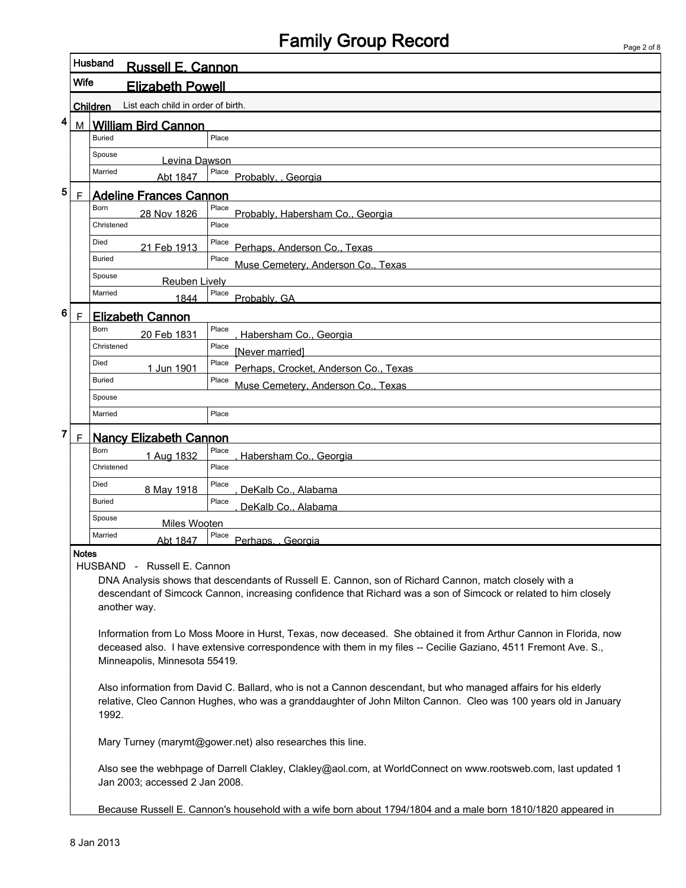## Family Group Record

| Page 2 of 8 |  |  |
|-------------|--|--|

| Husband<br><b>Russell E. Cannon</b>                   |                                                                                                                                                                                                                                                                                         |                                                                                                                                                                                                                                    |  |  |  |  |  |  |  |  |
|-------------------------------------------------------|-----------------------------------------------------------------------------------------------------------------------------------------------------------------------------------------------------------------------------------------------------------------------------------------|------------------------------------------------------------------------------------------------------------------------------------------------------------------------------------------------------------------------------------|--|--|--|--|--|--|--|--|
| <b>Wife</b><br><b>Elizabeth Powell</b>                |                                                                                                                                                                                                                                                                                         |                                                                                                                                                                                                                                    |  |  |  |  |  |  |  |  |
| List each child in order of birth.<br><b>Children</b> |                                                                                                                                                                                                                                                                                         |                                                                                                                                                                                                                                    |  |  |  |  |  |  |  |  |
| 4                                                     | <b>William Bird Cannon</b><br>М                                                                                                                                                                                                                                                         |                                                                                                                                                                                                                                    |  |  |  |  |  |  |  |  |
|                                                       | Place<br><b>Buried</b>                                                                                                                                                                                                                                                                  |                                                                                                                                                                                                                                    |  |  |  |  |  |  |  |  |
|                                                       | Spouse<br>Levina Dawson                                                                                                                                                                                                                                                                 |                                                                                                                                                                                                                                    |  |  |  |  |  |  |  |  |
|                                                       | Married<br>Abt 1847                                                                                                                                                                                                                                                                     | Place<br>Probably. Georgia                                                                                                                                                                                                         |  |  |  |  |  |  |  |  |
| 5                                                     | $\mathsf{F}$<br><b>Adeline Frances Cannon</b>                                                                                                                                                                                                                                           |                                                                                                                                                                                                                                    |  |  |  |  |  |  |  |  |
|                                                       | Born<br>28 Nov 1826                                                                                                                                                                                                                                                                     | Place<br>Probably, Habersham Co., Georgia                                                                                                                                                                                          |  |  |  |  |  |  |  |  |
|                                                       | Christened                                                                                                                                                                                                                                                                              | Place                                                                                                                                                                                                                              |  |  |  |  |  |  |  |  |
|                                                       | Died<br>21 Feb 1913<br><b>Buried</b>                                                                                                                                                                                                                                                    | Place<br>Perhaps, Anderson Co., Texas<br>Place                                                                                                                                                                                     |  |  |  |  |  |  |  |  |
|                                                       | Spouse                                                                                                                                                                                                                                                                                  | Muse Cemetery, Anderson Co., Texas                                                                                                                                                                                                 |  |  |  |  |  |  |  |  |
|                                                       | <b>Reuben Lively</b><br>Married                                                                                                                                                                                                                                                         | Place                                                                                                                                                                                                                              |  |  |  |  |  |  |  |  |
|                                                       | 1844                                                                                                                                                                                                                                                                                    | Probably, GA                                                                                                                                                                                                                       |  |  |  |  |  |  |  |  |
| 6                                                     | $\mathsf{F}$<br><b>Elizabeth Cannon</b><br>Born                                                                                                                                                                                                                                         | Place                                                                                                                                                                                                                              |  |  |  |  |  |  |  |  |
|                                                       | 20 Feb 1831<br>Christened                                                                                                                                                                                                                                                               | Habersham Co., Georgia<br>Place                                                                                                                                                                                                    |  |  |  |  |  |  |  |  |
|                                                       | Died                                                                                                                                                                                                                                                                                    | [Never married]<br>Place                                                                                                                                                                                                           |  |  |  |  |  |  |  |  |
|                                                       | 1 Jun 1901<br><b>Buried</b>                                                                                                                                                                                                                                                             | Perhaps, Crocket, Anderson Co., Texas<br>Place                                                                                                                                                                                     |  |  |  |  |  |  |  |  |
|                                                       | Spouse                                                                                                                                                                                                                                                                                  | Muse Cemetery, Anderson Co., Texas                                                                                                                                                                                                 |  |  |  |  |  |  |  |  |
|                                                       | Married                                                                                                                                                                                                                                                                                 | Place                                                                                                                                                                                                                              |  |  |  |  |  |  |  |  |
| 7                                                     | $\mathsf{F}$<br><b>Nancy Elizabeth Cannon</b>                                                                                                                                                                                                                                           |                                                                                                                                                                                                                                    |  |  |  |  |  |  |  |  |
|                                                       | Born<br>1 Aug 1832                                                                                                                                                                                                                                                                      | Place                                                                                                                                                                                                                              |  |  |  |  |  |  |  |  |
|                                                       | Christened                                                                                                                                                                                                                                                                              | Habersham Co., Georgia<br>Place                                                                                                                                                                                                    |  |  |  |  |  |  |  |  |
|                                                       | Died<br>8 May 1918                                                                                                                                                                                                                                                                      | Place<br>DeKalb Co., Alabama                                                                                                                                                                                                       |  |  |  |  |  |  |  |  |
|                                                       | <b>Buried</b>                                                                                                                                                                                                                                                                           | Place<br>DeKalb Co., Alabama                                                                                                                                                                                                       |  |  |  |  |  |  |  |  |
|                                                       | Spouse<br><b>Miles Wooten</b>                                                                                                                                                                                                                                                           |                                                                                                                                                                                                                                    |  |  |  |  |  |  |  |  |
|                                                       | Married<br>Abt 1847                                                                                                                                                                                                                                                                     | Place<br>Perhaps. Georgia                                                                                                                                                                                                          |  |  |  |  |  |  |  |  |
|                                                       | <b>Notes</b><br>HUSBAND - Russell E. Cannon<br>DNA Analysis shows that descendants of Russell E. Cannon, son of Richard Cannon, match closely with a<br>descendant of Simcock Cannon, increasing confidence that Richard was a son of Simcock or related to him closely<br>another way. |                                                                                                                                                                                                                                    |  |  |  |  |  |  |  |  |
|                                                       | Minneapolis, Minnesota 55419.                                                                                                                                                                                                                                                           | Information from Lo Moss Moore in Hurst, Texas, now deceased. She obtained it from Arthur Cannon in Florida, now<br>deceased also. I have extensive correspondence with them in my files -- Cecilie Gaziano, 4511 Fremont Ave. S., |  |  |  |  |  |  |  |  |
|                                                       | 1992.                                                                                                                                                                                                                                                                                   | Also information from David C. Ballard, who is not a Cannon descendant, but who managed affairs for his elderly<br>relative, Cleo Cannon Hughes, who was a granddaughter of John Milton Cannon. Cleo was 100 years old in January  |  |  |  |  |  |  |  |  |
|                                                       |                                                                                                                                                                                                                                                                                         | Mary Turney (marymt@gower.net) also researches this line.                                                                                                                                                                          |  |  |  |  |  |  |  |  |
|                                                       | Jan 2003; accessed 2 Jan 2008.                                                                                                                                                                                                                                                          | Also see the webhpage of Darrell Clakley, Clakley@aol.com, at WorldConnect on www.rootsweb.com, last updated 1                                                                                                                     |  |  |  |  |  |  |  |  |
|                                                       | Because Russell E. Cannon's household with a wife born about 1794/1804 and a male born 1810/1820 appeared in                                                                                                                                                                            |                                                                                                                                                                                                                                    |  |  |  |  |  |  |  |  |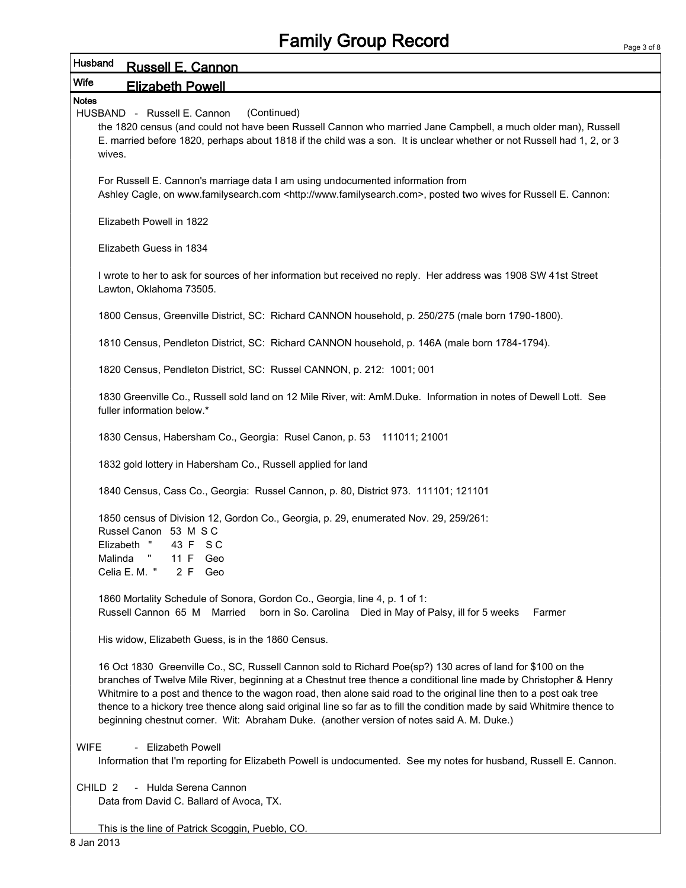| Husband<br><b>Russell E. Cannon</b>                                                                                                                                                                                                                                                                                                                                                                                                                                                                                                                                            |  |  |  |  |  |  |  |  |  |
|--------------------------------------------------------------------------------------------------------------------------------------------------------------------------------------------------------------------------------------------------------------------------------------------------------------------------------------------------------------------------------------------------------------------------------------------------------------------------------------------------------------------------------------------------------------------------------|--|--|--|--|--|--|--|--|--|
| Wife<br><b>Elizabeth Powell</b>                                                                                                                                                                                                                                                                                                                                                                                                                                                                                                                                                |  |  |  |  |  |  |  |  |  |
| <b>Notes</b>                                                                                                                                                                                                                                                                                                                                                                                                                                                                                                                                                                   |  |  |  |  |  |  |  |  |  |
| HUSBAND - Russell E. Cannon<br>(Continued)<br>the 1820 census (and could not have been Russell Cannon who married Jane Campbell, a much older man), Russell<br>E. married before 1820, perhaps about 1818 if the child was a son. It is unclear whether or not Russell had 1, 2, or 3<br>wives.                                                                                                                                                                                                                                                                                |  |  |  |  |  |  |  |  |  |
| For Russell E. Cannon's marriage data I am using undocumented information from<br>Ashley Cagle, on www.familysearch.com <http: www.familysearch.com="">, posted two wives for Russell E. Cannon:</http:>                                                                                                                                                                                                                                                                                                                                                                       |  |  |  |  |  |  |  |  |  |
| Elizabeth Powell in 1822                                                                                                                                                                                                                                                                                                                                                                                                                                                                                                                                                       |  |  |  |  |  |  |  |  |  |
| Elizabeth Guess in 1834                                                                                                                                                                                                                                                                                                                                                                                                                                                                                                                                                        |  |  |  |  |  |  |  |  |  |
| I wrote to her to ask for sources of her information but received no reply. Her address was 1908 SW 41st Street<br>Lawton, Oklahoma 73505.                                                                                                                                                                                                                                                                                                                                                                                                                                     |  |  |  |  |  |  |  |  |  |
| 1800 Census, Greenville District, SC: Richard CANNON household, p. 250/275 (male born 1790-1800).                                                                                                                                                                                                                                                                                                                                                                                                                                                                              |  |  |  |  |  |  |  |  |  |
| 1810 Census, Pendleton District, SC: Richard CANNON household, p. 146A (male born 1784-1794).                                                                                                                                                                                                                                                                                                                                                                                                                                                                                  |  |  |  |  |  |  |  |  |  |
| 1820 Census, Pendleton District, SC: Russel CANNON, p. 212: 1001; 001                                                                                                                                                                                                                                                                                                                                                                                                                                                                                                          |  |  |  |  |  |  |  |  |  |
| 1830 Greenville Co., Russell sold land on 12 Mile River, wit: AmM.Duke. Information in notes of Dewell Lott. See<br>fuller information below.*                                                                                                                                                                                                                                                                                                                                                                                                                                 |  |  |  |  |  |  |  |  |  |
| 1830 Census, Habersham Co., Georgia: Rusel Canon, p. 53 111011; 21001                                                                                                                                                                                                                                                                                                                                                                                                                                                                                                          |  |  |  |  |  |  |  |  |  |
| 1832 gold lottery in Habersham Co., Russell applied for land                                                                                                                                                                                                                                                                                                                                                                                                                                                                                                                   |  |  |  |  |  |  |  |  |  |
| 1840 Census, Cass Co., Georgia: Russel Cannon, p. 80, District 973. 111101; 121101                                                                                                                                                                                                                                                                                                                                                                                                                                                                                             |  |  |  |  |  |  |  |  |  |
| 1850 census of Division 12, Gordon Co., Georgia, p. 29, enumerated Nov. 29, 259/261:<br>Russel Canon 53 M S C<br>Elizabeth "<br>43 F SC<br>Malinda " 11 F Geo<br>Celia E. M. "<br>2 F Geo                                                                                                                                                                                                                                                                                                                                                                                      |  |  |  |  |  |  |  |  |  |
| 1860 Mortality Schedule of Sonora, Gordon Co., Georgia, line 4, p. 1 of 1:<br>Russell Cannon 65 M Married<br>born in So. Carolina Died in May of Palsy, ill for 5 weeks<br>Farmer                                                                                                                                                                                                                                                                                                                                                                                              |  |  |  |  |  |  |  |  |  |
| His widow, Elizabeth Guess, is in the 1860 Census.                                                                                                                                                                                                                                                                                                                                                                                                                                                                                                                             |  |  |  |  |  |  |  |  |  |
| 16 Oct 1830 Greenville Co., SC, Russell Cannon sold to Richard Poe(sp?) 130 acres of land for \$100 on the<br>branches of Twelve Mile River, beginning at a Chestnut tree thence a conditional line made by Christopher & Henry<br>Whitmire to a post and thence to the wagon road, then alone said road to the original line then to a post oak tree<br>thence to a hickory tree thence along said original line so far as to fill the condition made by said Whitmire thence to<br>beginning chestnut corner. Wit: Abraham Duke. (another version of notes said A. M. Duke.) |  |  |  |  |  |  |  |  |  |
| - Elizabeth Powell<br><b>WIFE</b><br>Information that I'm reporting for Elizabeth Powell is undocumented. See my notes for husband, Russell E. Cannon.                                                                                                                                                                                                                                                                                                                                                                                                                         |  |  |  |  |  |  |  |  |  |
| - Hulda Serena Cannon<br>CHILD <sub>2</sub><br>Data from David C. Ballard of Avoca, TX.                                                                                                                                                                                                                                                                                                                                                                                                                                                                                        |  |  |  |  |  |  |  |  |  |

This is the line of Patrick Scoggin, Pueblo, CO.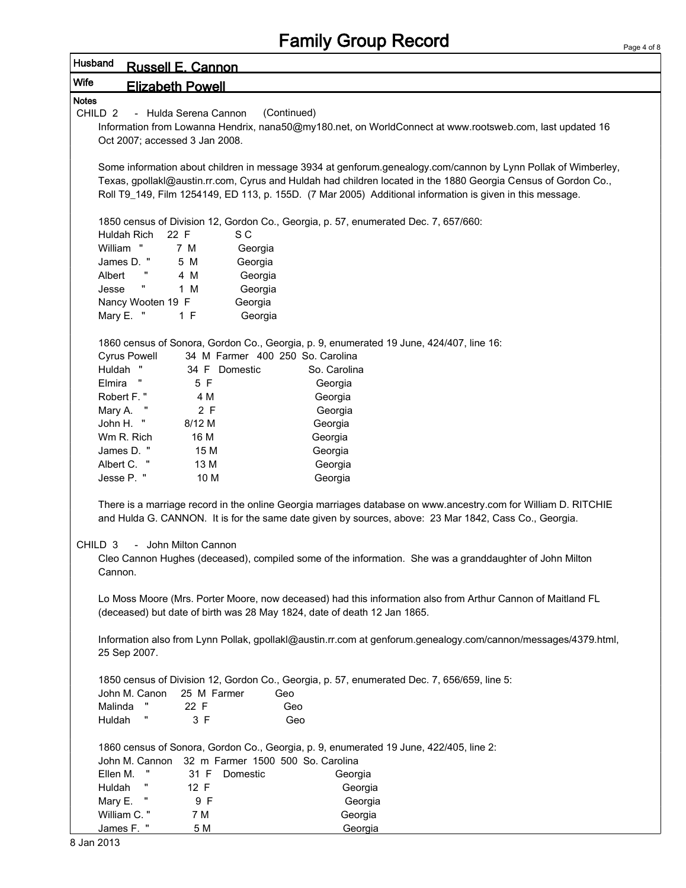| Husband            |                                                                                                                | <b>Russell E. Cannon</b>  |                                                                                                                |  |  |  |  |  |  |  |
|--------------------|----------------------------------------------------------------------------------------------------------------|---------------------------|----------------------------------------------------------------------------------------------------------------|--|--|--|--|--|--|--|
| Wife               | <b>Elizabeth Powell</b>                                                                                        |                           |                                                                                                                |  |  |  |  |  |  |  |
| <b>Notes</b>       |                                                                                                                |                           |                                                                                                                |  |  |  |  |  |  |  |
| CHILD <sub>2</sub> |                                                                                                                | - Hulda Serena Cannon     | (Continued)                                                                                                    |  |  |  |  |  |  |  |
|                    |                                                                                                                |                           | Information from Lowanna Hendrix, nana50@my180.net, on WorldConnect at www.rootsweb.com, last updated 16       |  |  |  |  |  |  |  |
|                    | Oct 2007; accessed 3 Jan 2008.                                                                                 |                           |                                                                                                                |  |  |  |  |  |  |  |
|                    |                                                                                                                |                           |                                                                                                                |  |  |  |  |  |  |  |
|                    | Some information about children in message 3934 at genforum.genealogy.com/cannon by Lynn Pollak of Wimberley,  |                           |                                                                                                                |  |  |  |  |  |  |  |
|                    | Texas, gpollakl@austin.rr.com, Cyrus and Huldah had children located in the 1880 Georgia Census of Gordon Co., |                           |                                                                                                                |  |  |  |  |  |  |  |
|                    | Roll T9_149, Film 1254149, ED 113, p. 155D. (7 Mar 2005) Additional information is given in this message.      |                           |                                                                                                                |  |  |  |  |  |  |  |
|                    |                                                                                                                |                           |                                                                                                                |  |  |  |  |  |  |  |
|                    | 1850 census of Division 12, Gordon Co., Georgia, p. 57, enumerated Dec. 7, 657/660:                            |                           |                                                                                                                |  |  |  |  |  |  |  |
|                    | Huldah Rich<br>22 F<br>William "                                                                               | S C<br>7 M                |                                                                                                                |  |  |  |  |  |  |  |
|                    | James D. "                                                                                                     | Georgia<br>5 M<br>Georgia |                                                                                                                |  |  |  |  |  |  |  |
| Albert             |                                                                                                                | 4 M<br>Georgia            |                                                                                                                |  |  |  |  |  |  |  |
| Jesse              | Ħ                                                                                                              | 1 M<br>Georgia            |                                                                                                                |  |  |  |  |  |  |  |
|                    | Nancy Wooten 19 F                                                                                              | Georgia                   |                                                                                                                |  |  |  |  |  |  |  |
|                    | Mary E. "                                                                                                      | 1 F<br>Georgia            |                                                                                                                |  |  |  |  |  |  |  |
|                    |                                                                                                                |                           |                                                                                                                |  |  |  |  |  |  |  |
|                    |                                                                                                                |                           | 1860 census of Sonora, Gordon Co., Georgia, p. 9, enumerated 19 June, 424/407, line 16:                        |  |  |  |  |  |  |  |
|                    | <b>Cyrus Powell</b>                                                                                            |                           | 34 M Farmer 400 250 So. Carolina                                                                               |  |  |  |  |  |  |  |
|                    | Huldah "                                                                                                       | 34 F Domestic             | So. Carolina                                                                                                   |  |  |  |  |  |  |  |
| Elmira             | H                                                                                                              | 5 F                       | Georgia                                                                                                        |  |  |  |  |  |  |  |
|                    | Robert F."                                                                                                     | 4 M                       | Georgia                                                                                                        |  |  |  |  |  |  |  |
|                    | Mary A.                                                                                                        | 2 F                       | Georgia                                                                                                        |  |  |  |  |  |  |  |
|                    | John H. "                                                                                                      | 8/12 M                    | Georgia                                                                                                        |  |  |  |  |  |  |  |
|                    | Wm R. Rich                                                                                                     | 16 M                      | Georgia                                                                                                        |  |  |  |  |  |  |  |
|                    | James D. "                                                                                                     | 15 M                      | Georgia                                                                                                        |  |  |  |  |  |  |  |
|                    | Albert C. "                                                                                                    | 13 M                      | Georgia                                                                                                        |  |  |  |  |  |  |  |
|                    | Jesse P. "                                                                                                     | 10 M                      | Georgia                                                                                                        |  |  |  |  |  |  |  |
|                    |                                                                                                                |                           |                                                                                                                |  |  |  |  |  |  |  |
|                    |                                                                                                                |                           | There is a marriage record in the online Georgia marriages database on www.ancestry.com for William D. RITCHIE |  |  |  |  |  |  |  |
|                    |                                                                                                                |                           | and Hulda G. CANNON. It is for the same date given by sources, above: 23 Mar 1842, Cass Co., Georgia.          |  |  |  |  |  |  |  |
| CHILD <sub>3</sub> |                                                                                                                | - John Milton Cannon      |                                                                                                                |  |  |  |  |  |  |  |
|                    |                                                                                                                |                           | Cleo Cannon Hughes (deceased), compiled some of the information. She was a granddaughter of John Milton        |  |  |  |  |  |  |  |
|                    | Cannon.                                                                                                        |                           |                                                                                                                |  |  |  |  |  |  |  |
|                    |                                                                                                                |                           |                                                                                                                |  |  |  |  |  |  |  |
|                    |                                                                                                                |                           | Lo Moss Moore (Mrs. Porter Moore, now deceased) had this information also from Arthur Cannon of Maitland FL    |  |  |  |  |  |  |  |
|                    |                                                                                                                |                           | (deceased) but date of birth was 28 May 1824, date of death 12 Jan 1865.                                       |  |  |  |  |  |  |  |
|                    |                                                                                                                |                           |                                                                                                                |  |  |  |  |  |  |  |
|                    |                                                                                                                |                           | Information also from Lynn Pollak, gpollakl@austin.rr.com at genforum.genealogy.com/cannon/messages/4379.html, |  |  |  |  |  |  |  |
|                    | 25 Sep 2007.                                                                                                   |                           |                                                                                                                |  |  |  |  |  |  |  |
|                    |                                                                                                                |                           |                                                                                                                |  |  |  |  |  |  |  |
|                    |                                                                                                                |                           | 1850 census of Division 12, Gordon Co., Georgia, p. 57, enumerated Dec. 7, 656/659, line 5:                    |  |  |  |  |  |  |  |
|                    | John M. Canon                                                                                                  | 25 M Farmer               | Geo                                                                                                            |  |  |  |  |  |  |  |
|                    | Malinda                                                                                                        | 22 F                      | Geo                                                                                                            |  |  |  |  |  |  |  |
| Huldah             |                                                                                                                | 3 F                       | Geo                                                                                                            |  |  |  |  |  |  |  |
|                    |                                                                                                                |                           | 1860 census of Sonora, Gordon Co., Georgia, p. 9, enumerated 19 June, 422/405, line 2:                         |  |  |  |  |  |  |  |
|                    |                                                                                                                |                           | John M. Cannon 32 m Farmer 1500 500 So. Carolina                                                               |  |  |  |  |  |  |  |
|                    | Ellen M.                                                                                                       | 31 F<br>Domestic          | Georgia                                                                                                        |  |  |  |  |  |  |  |
| Huldah             |                                                                                                                | 12 F                      | Georgia                                                                                                        |  |  |  |  |  |  |  |
|                    | π<br>Mary E.                                                                                                   | 9 F                       | Georgia                                                                                                        |  |  |  |  |  |  |  |
|                    | William C."                                                                                                    | 7 M                       | Georgia                                                                                                        |  |  |  |  |  |  |  |
|                    | James F. "                                                                                                     | 5 M                       | Georgia                                                                                                        |  |  |  |  |  |  |  |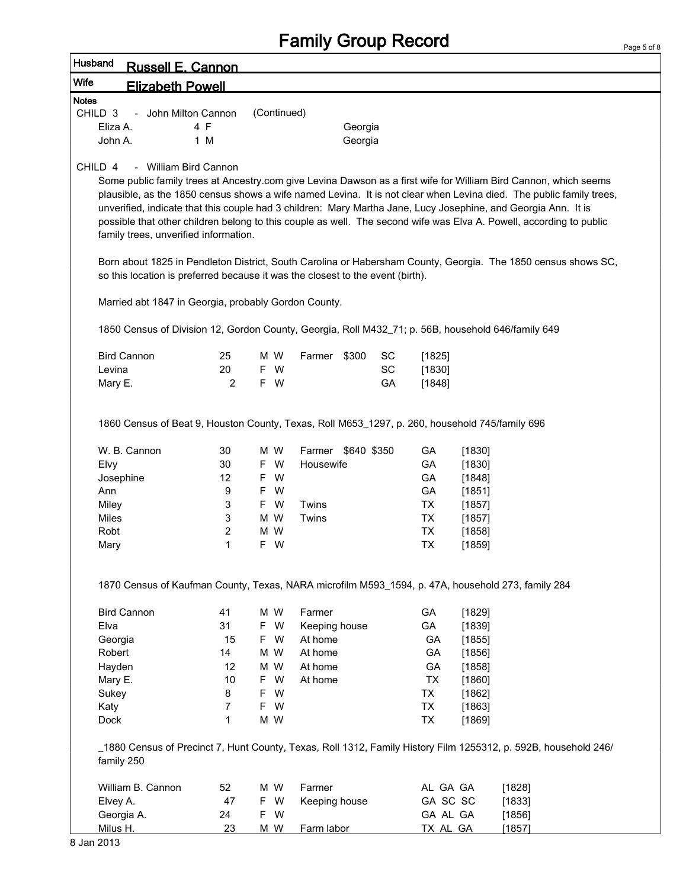| Husband<br><b>Russell E. Cannon</b>                                                                            |        |             |                    |         |    |          |                  |                                                                                                                                                                                                                                                                                                                                                                |
|----------------------------------------------------------------------------------------------------------------|--------|-------------|--------------------|---------|----|----------|------------------|----------------------------------------------------------------------------------------------------------------------------------------------------------------------------------------------------------------------------------------------------------------------------------------------------------------------------------------------------------------|
| <b>Wife</b><br><b>Elizabeth Powell</b>                                                                         |        |             |                    |         |    |          |                  |                                                                                                                                                                                                                                                                                                                                                                |
| <b>Notes</b>                                                                                                   |        |             |                    |         |    |          |                  |                                                                                                                                                                                                                                                                                                                                                                |
| CHILD <sub>3</sub><br>- John Milton Cannon                                                                     |        | (Continued) |                    |         |    |          |                  |                                                                                                                                                                                                                                                                                                                                                                |
| Eliza A.                                                                                                       | 4 F    |             |                    | Georgia |    |          |                  |                                                                                                                                                                                                                                                                                                                                                                |
| John A.                                                                                                        | 1 M    |             |                    | Georgia |    |          |                  |                                                                                                                                                                                                                                                                                                                                                                |
| CHILD 4<br>- William Bird Cannon                                                                               |        |             |                    |         |    |          |                  |                                                                                                                                                                                                                                                                                                                                                                |
| unverified, indicate that this couple had 3 children: Mary Martha Jane, Lucy Josephine, and Georgia Ann. It is |        |             |                    |         |    |          |                  | Some public family trees at Ancestry.com give Levina Dawson as a first wife for William Bird Cannon, which seems<br>plausible, as the 1850 census shows a wife named Levina. It is not clear when Levina died. The public family trees,<br>possible that other children belong to this couple as well. The second wife was Elva A. Powell, according to public |
| family trees, unverified information.                                                                          |        |             |                    |         |    |          |                  |                                                                                                                                                                                                                                                                                                                                                                |
| so this location is preferred because it was the closest to the event (birth).                                 |        |             |                    |         |    |          |                  | Born about 1825 in Pendleton District, South Carolina or Habersham County, Georgia. The 1850 census shows SC,                                                                                                                                                                                                                                                  |
| Married abt 1847 in Georgia, probably Gordon County.                                                           |        |             |                    |         |    |          |                  |                                                                                                                                                                                                                                                                                                                                                                |
| 1850 Census of Division 12, Gordon County, Georgia, Roll M432_71; p. 56B, household 646/family 649             |        |             |                    |         |    |          |                  |                                                                                                                                                                                                                                                                                                                                                                |
| <b>Bird Cannon</b>                                                                                             | 25     | M W         | Farmer \$300       |         | SC | [1825]   |                  |                                                                                                                                                                                                                                                                                                                                                                |
| Levina                                                                                                         | 20     | F W         |                    |         | SC | [1830]   |                  |                                                                                                                                                                                                                                                                                                                                                                |
| Mary E.                                                                                                        | 2      | F W         |                    |         | GA | [1848]   |                  |                                                                                                                                                                                                                                                                                                                                                                |
| 1860 Census of Beat 9, Houston County, Texas, Roll M653_1297, p. 260, household 745/family 696                 |        |             |                    |         |    |          |                  |                                                                                                                                                                                                                                                                                                                                                                |
| W. B. Cannon                                                                                                   | 30     | M W         | Farmer \$640 \$350 |         |    | GA       | [1830]           |                                                                                                                                                                                                                                                                                                                                                                |
| Elvy                                                                                                           | 30     | F W         | Housewife          |         |    | GA       | [1830]           |                                                                                                                                                                                                                                                                                                                                                                |
| Josephine                                                                                                      | 12     | F W         |                    |         |    | GA       | [1848]           |                                                                                                                                                                                                                                                                                                                                                                |
| Ann                                                                                                            | 9      | F W         |                    |         |    | GA       | [1851]           |                                                                                                                                                                                                                                                                                                                                                                |
| Miley                                                                                                          | 3      | F W         | Twins              |         |    | TX       | [1857]           |                                                                                                                                                                                                                                                                                                                                                                |
| Miles<br>Robt                                                                                                  | 3      | M W<br>M W  | Twins              |         |    | TX<br>TX | [1857]           |                                                                                                                                                                                                                                                                                                                                                                |
| Mary                                                                                                           | 2<br>1 | F W         |                    |         |    | TX       | [1858]<br>[1859] |                                                                                                                                                                                                                                                                                                                                                                |
|                                                                                                                |        |             |                    |         |    |          |                  |                                                                                                                                                                                                                                                                                                                                                                |
| 1870 Census of Kaufman County, Texas, NARA microfilm M593_1594, p. 47A, household 273, family 284              |        |             |                    |         |    |          |                  |                                                                                                                                                                                                                                                                                                                                                                |
| <b>Bird Cannon</b>                                                                                             | 41     | M W         | Farmer             |         |    | GA       | [1829]           |                                                                                                                                                                                                                                                                                                                                                                |
| Elva                                                                                                           | 31     | F W         | Keeping house      |         |    | GA       | [1839]           |                                                                                                                                                                                                                                                                                                                                                                |
| Georgia                                                                                                        | 15     | F W         | At home            |         |    | GA       | [1855]           |                                                                                                                                                                                                                                                                                                                                                                |
| Robert                                                                                                         | 14     | M W         | At home            |         |    | GA       | [1856]           |                                                                                                                                                                                                                                                                                                                                                                |
| Hayden                                                                                                         | 12     | M W         | At home            |         |    | GA       | [1858]           |                                                                                                                                                                                                                                                                                                                                                                |
| Mary E.                                                                                                        | 10     | F W         | At home            |         |    | TX       | [1860]           |                                                                                                                                                                                                                                                                                                                                                                |
| Sukey                                                                                                          | 8      | F W         |                    |         |    | TX       | [1862]           |                                                                                                                                                                                                                                                                                                                                                                |
| Katy                                                                                                           | 7      | F W         |                    |         |    | TX       | [1863]           |                                                                                                                                                                                                                                                                                                                                                                |
| Dock                                                                                                           | 1      | M W         |                    |         |    | TX       | [1869]           |                                                                                                                                                                                                                                                                                                                                                                |
| family 250                                                                                                     |        |             |                    |         |    |          |                  | 1880 Census of Precinct 7, Hunt County, Texas, Roll 1312, Family History Film 1255312, p. 592B, household 246/                                                                                                                                                                                                                                                 |
| William B. Cannon                                                                                              | 52     | M W         | Farmer             |         |    | AL GA GA |                  | [1828]                                                                                                                                                                                                                                                                                                                                                         |
| Elvey A.                                                                                                       | 47     | F W         | Keeping house      |         |    | GA SC SC |                  | [1833]                                                                                                                                                                                                                                                                                                                                                         |
| Georgia A.                                                                                                     | 24     | F W         |                    |         |    | GA AL GA |                  | [1856]                                                                                                                                                                                                                                                                                                                                                         |
| Milus H.                                                                                                       | 23     | M W         | Farm labor         |         |    | TX AL GA |                  | [1857]                                                                                                                                                                                                                                                                                                                                                         |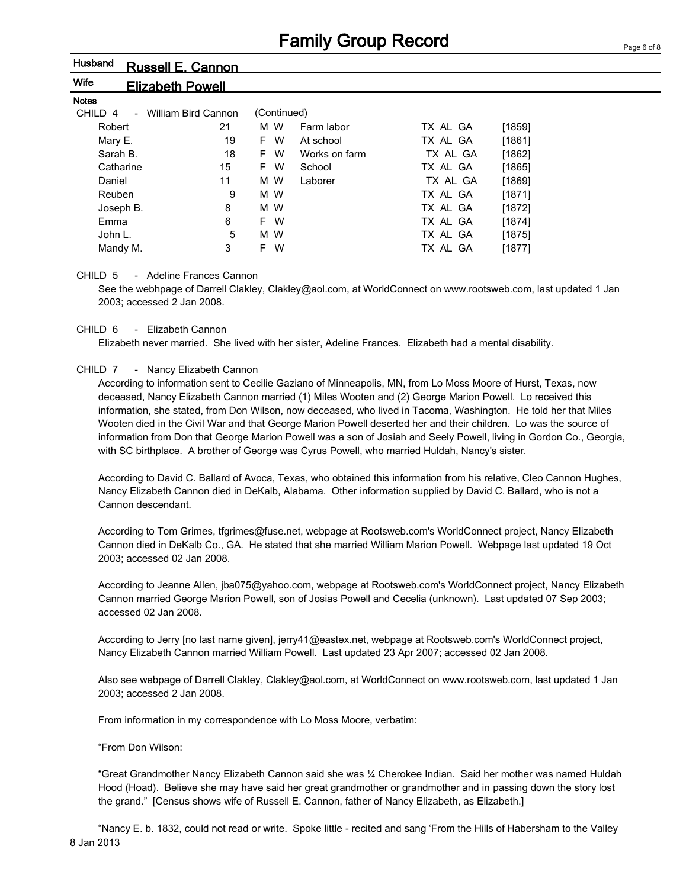|                                                                                   |                          |     |               | <b>Family Group Record</b>                                                                              |                                                                                                                                                                                                                                                                                                                                                                                                                                                                                                                                                                                                                                                                                                                                                                                                                                                                                                                                                                                                                                                              | Page 6 of |
|-----------------------------------------------------------------------------------|--------------------------|-----|---------------|---------------------------------------------------------------------------------------------------------|--------------------------------------------------------------------------------------------------------------------------------------------------------------------------------------------------------------------------------------------------------------------------------------------------------------------------------------------------------------------------------------------------------------------------------------------------------------------------------------------------------------------------------------------------------------------------------------------------------------------------------------------------------------------------------------------------------------------------------------------------------------------------------------------------------------------------------------------------------------------------------------------------------------------------------------------------------------------------------------------------------------------------------------------------------------|-----------|
| Husband<br><b>Russell E. Cannon</b>                                               |                          |     |               |                                                                                                         |                                                                                                                                                                                                                                                                                                                                                                                                                                                                                                                                                                                                                                                                                                                                                                                                                                                                                                                                                                                                                                                              |           |
| Wife<br><b>Elizabeth Powell</b>                                                   |                          |     |               |                                                                                                         |                                                                                                                                                                                                                                                                                                                                                                                                                                                                                                                                                                                                                                                                                                                                                                                                                                                                                                                                                                                                                                                              |           |
| <b>Notes</b>                                                                      |                          |     |               |                                                                                                         |                                                                                                                                                                                                                                                                                                                                                                                                                                                                                                                                                                                                                                                                                                                                                                                                                                                                                                                                                                                                                                                              |           |
| CHILD 4<br>- William Bird Cannon                                                  |                          |     | (Continued)   |                                                                                                         |                                                                                                                                                                                                                                                                                                                                                                                                                                                                                                                                                                                                                                                                                                                                                                                                                                                                                                                                                                                                                                                              |           |
| Robert                                                                            | 21                       | M W | Farm labor    | TX AL GA                                                                                                | [1859]                                                                                                                                                                                                                                                                                                                                                                                                                                                                                                                                                                                                                                                                                                                                                                                                                                                                                                                                                                                                                                                       |           |
| Mary E.                                                                           | 19                       | F W | At school     | TX AL GA                                                                                                | [1861]                                                                                                                                                                                                                                                                                                                                                                                                                                                                                                                                                                                                                                                                                                                                                                                                                                                                                                                                                                                                                                                       |           |
| Sarah B.                                                                          | 18                       | F W | Works on farm | TX AL GA                                                                                                | [1862]                                                                                                                                                                                                                                                                                                                                                                                                                                                                                                                                                                                                                                                                                                                                                                                                                                                                                                                                                                                                                                                       |           |
| Catharine                                                                         | 15                       | F W | School        | TX AL GA                                                                                                | [1865]                                                                                                                                                                                                                                                                                                                                                                                                                                                                                                                                                                                                                                                                                                                                                                                                                                                                                                                                                                                                                                                       |           |
| Daniel                                                                            | 11                       | M W | Laborer       | TX AL GA                                                                                                | [1869]                                                                                                                                                                                                                                                                                                                                                                                                                                                                                                                                                                                                                                                                                                                                                                                                                                                                                                                                                                                                                                                       |           |
| Reuben                                                                            | 9                        | M W |               | TX AL GA                                                                                                | [1871]                                                                                                                                                                                                                                                                                                                                                                                                                                                                                                                                                                                                                                                                                                                                                                                                                                                                                                                                                                                                                                                       |           |
| Joseph B.                                                                         | 8                        | M W |               | TX AL GA                                                                                                | [1872]                                                                                                                                                                                                                                                                                                                                                                                                                                                                                                                                                                                                                                                                                                                                                                                                                                                                                                                                                                                                                                                       |           |
| Emma                                                                              | 6                        | F W |               | TX AL GA                                                                                                | [1874]                                                                                                                                                                                                                                                                                                                                                                                                                                                                                                                                                                                                                                                                                                                                                                                                                                                                                                                                                                                                                                                       |           |
| John L.                                                                           | 5                        | M W |               | TX AL GA                                                                                                | [1875]                                                                                                                                                                                                                                                                                                                                                                                                                                                                                                                                                                                                                                                                                                                                                                                                                                                                                                                                                                                                                                                       |           |
| Mandy M.                                                                          | 3                        | F W |               | TX AL GA                                                                                                | [1877]                                                                                                                                                                                                                                                                                                                                                                                                                                                                                                                                                                                                                                                                                                                                                                                                                                                                                                                                                                                                                                                       |           |
| CHILD 5<br>2003; accessed 2 Jan 2008.<br>CHILD <sub>6</sub><br>- Elizabeth Cannon | - Adeline Frances Cannon |     |               |                                                                                                         | See the webhpage of Darrell Clakley, Clakley@aol.com, at WorldConnect on www.rootsweb.com, last updated 1 Jan                                                                                                                                                                                                                                                                                                                                                                                                                                                                                                                                                                                                                                                                                                                                                                                                                                                                                                                                                |           |
|                                                                                   |                          |     |               | Elizabeth never married. She lived with her sister, Adeline Frances. Elizabeth had a mental disability. |                                                                                                                                                                                                                                                                                                                                                                                                                                                                                                                                                                                                                                                                                                                                                                                                                                                                                                                                                                                                                                                              |           |
| CHILD 7<br>Cannon descendant.<br>2003; accessed 02 Jan 2008.                      | - Nancy Elizabeth Cannon |     |               | with SC birthplace. A brother of George was Cyrus Powell, who married Huldah, Nancy's sister.           | According to information sent to Cecilie Gaziano of Minneapolis, MN, from Lo Moss Moore of Hurst, Texas, now<br>deceased, Nancy Elizabeth Cannon married (1) Miles Wooten and (2) George Marion Powell. Lo received this<br>information, she stated, from Don Wilson, now deceased, who lived in Tacoma, Washington. He told her that Miles<br>Wooten died in the Civil War and that George Marion Powell deserted her and their children. Lo was the source of<br>information from Don that George Marion Powell was a son of Josiah and Seely Powell, living in Gordon Co., Georgia,<br>According to David C. Ballard of Avoca, Texas, who obtained this information from his relative, Cleo Cannon Hughes,<br>Nancy Elizabeth Cannon died in DeKalb, Alabama. Other information supplied by David C. Ballard, who is not a<br>According to Tom Grimes, tfgrimes@fuse.net, webpage at Rootsweb.com's WorldConnect project, Nancy Elizabeth<br>Cannon died in DeKalb Co., GA. He stated that she married William Marion Powell. Webpage last updated 19 Oct |           |
| accessed 02 Jan 2008.                                                             |                          |     |               |                                                                                                         | According to Jeanne Allen, jba075@yahoo.com, webpage at Rootsweb.com's WorldConnect project, Nancy Elizabeth<br>Cannon married George Marion Powell, son of Josias Powell and Cecelia (unknown). Last updated 07 Sep 2003;                                                                                                                                                                                                                                                                                                                                                                                                                                                                                                                                                                                                                                                                                                                                                                                                                                   |           |
|                                                                                   |                          |     |               | Nancy Elizabeth Cannon married William Powell. Last updated 23 Apr 2007; accessed 02 Jan 2008.          | According to Jerry [no last name given], jerry41@eastex.net, webpage at Rootsweb.com's WorldConnect project,                                                                                                                                                                                                                                                                                                                                                                                                                                                                                                                                                                                                                                                                                                                                                                                                                                                                                                                                                 |           |
| 2003; accessed 2 Jan 2008.                                                        |                          |     |               |                                                                                                         | Also see webpage of Darrell Clakley, Clakley@aol.com, at WorldConnect on www.rootsweb.com, last updated 1 Jan                                                                                                                                                                                                                                                                                                                                                                                                                                                                                                                                                                                                                                                                                                                                                                                                                                                                                                                                                |           |
| From information in my correspondence with Lo Moss Moore, verbatim:               |                          |     |               |                                                                                                         |                                                                                                                                                                                                                                                                                                                                                                                                                                                                                                                                                                                                                                                                                                                                                                                                                                                                                                                                                                                                                                                              |           |
| "From Don Wilson:                                                                 |                          |     |               |                                                                                                         |                                                                                                                                                                                                                                                                                                                                                                                                                                                                                                                                                                                                                                                                                                                                                                                                                                                                                                                                                                                                                                                              |           |
|                                                                                   |                          |     |               | the grand." [Census shows wife of Russell E. Cannon, father of Nancy Elizabeth, as Elizabeth.]          | "Great Grandmother Nancy Elizabeth Cannon said she was 1⁄4 Cherokee Indian. Said her mother was named Huldah<br>Hood (Hoad). Believe she may have said her great grandmother or grandmother and in passing down the story lost                                                                                                                                                                                                                                                                                                                                                                                                                                                                                                                                                                                                                                                                                                                                                                                                                               |           |

"Nancy E. b. 1832, could not read or write. Spoke little - recited and sang 'From the Hills of Habersham to the Valley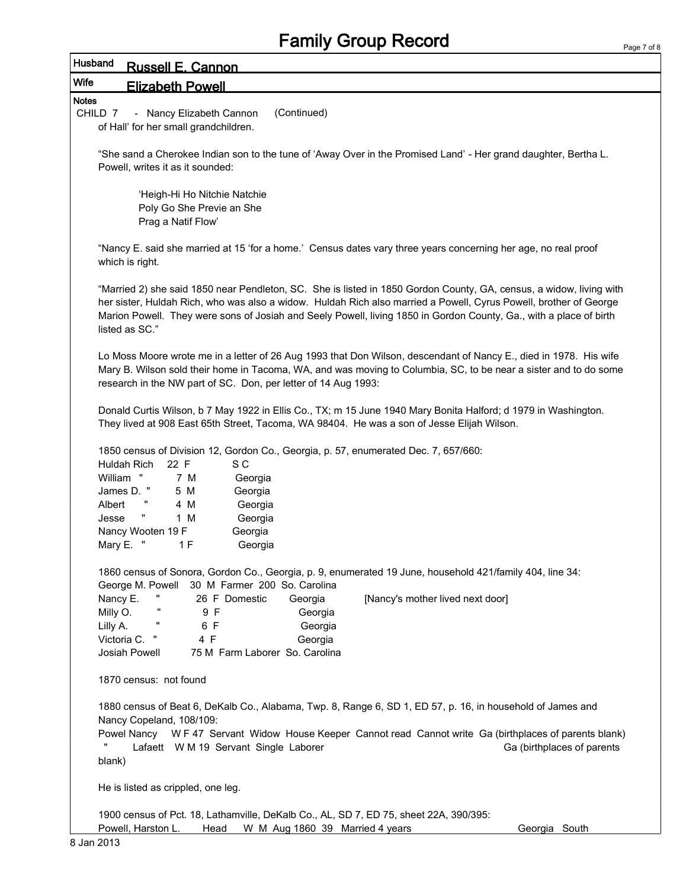| <b>Husband</b> | <b>Russell E. Cannon</b> |
|----------------|--------------------------|
| <b>Wife</b>    | <b>Elizabeth Powell</b>  |

Notes

CHILD 7 - Nancy Elizabeth Cannon (Continued) of Hall' for her small grandchildren.

"She sand a Cherokee Indian son to the tune of 'Away Over in the Promised Land' - Her grand daughter, Bertha L. Powell, writes it as it sounded:

'Heigh-Hi Ho Nitchie Natchie Poly Go She Previe an She Prag a Natif Flow'

"Nancy E. said she married at 15 'for a home.' Census dates vary three years concerning her age, no real proof which is right.

"Married 2) she said 1850 near Pendleton, SC. She is listed in 1850 Gordon County, GA, census, a widow, living with her sister, Huldah Rich, who was also a widow. Huldah Rich also married a Powell, Cyrus Powell, brother of George Marion Powell. They were sons of Josiah and Seely Powell, living 1850 in Gordon County, Ga., with a place of birth listed as SC."

Lo Moss Moore wrote me in a letter of 26 Aug 1993 that Don Wilson, descendant of Nancy E., died in 1978. His wife Mary B. Wilson sold their home in Tacoma, WA, and was moving to Columbia, SC, to be near a sister and to do some research in the NW part of SC. Don, per letter of 14 Aug 1993:

Donald Curtis Wilson, b 7 May 1922 in Ellis Co., TX; m 15 June 1940 Mary Bonita Halford; d 1979 in Washington. They lived at 908 East 65th Street, Tacoma, WA 98404. He was a son of Jesse Elijah Wilson.

1850 census of Division 12, Gordon Co., Georgia, p. 57, enumerated Dec. 7, 657/660:

| Huldah Rich       | 22 F | S C     |
|-------------------|------|---------|
| William<br>Ш      | 7 M  | Georgia |
| James D.<br>π     | 5 M  | Georgia |
| <br>Albert        | 4 M  | Georgia |
| "<br>Jesse        | 1 M  | Georgia |
| Nancy Wooten 19 F |      | Georgia |
| Mary E.<br>H      | 1 F  | Georgia |

1860 census of Sonora, Gordon Co., Georgia, p. 9, enumerated 19 June, household 421/family 404, line 34: George M. Powell 30 M Farmer 200 So. Carolina

| Nancy E.      | <br>26 F Domestic | Georgia                        | [Nancy's mother lived next door] |
|---------------|-------------------|--------------------------------|----------------------------------|
| Milly O.      | 9 F               | Georgia                        |                                  |
| Lilly A.      | 6 F               | Georgia                        |                                  |
| Victoria C. " | 4 F               | Georgia                        |                                  |
| Josiah Powell |                   | 75 M Farm Laborer So. Carolina |                                  |

1870 census: not found

1880 census of Beat 6, DeKalb Co., Alabama, Twp. 8, Range 6, SD 1, ED 57, p. 16, in household of James and Nancy Copeland, 108/109:

Powel Nancy W F 47 Servant Widow House Keeper Cannot read Cannot write Ga (birthplaces of parents blank) Lafaett W M 19 Servant Single Laborer Ga (birthplaces of parents blank)

He is listed as crippled, one leg.

1900 census of Pct. 18, Lathamville, DeKalb Co., AL, SD 7, ED 75, sheet 22A, 390/395: Powell, Harston L. Head W M Aug 1860 39 Married 4 years Georgia South